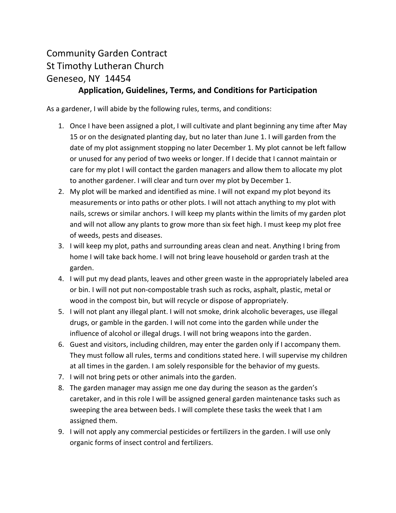## Community Garden Contract St Timothy Lutheran Church Geneseo, NY 14454

## **Application, Guidelines, Terms, and Conditions for Participation**

As a gardener, I will abide by the following rules, terms, and conditions:

- 1. Once I have been assigned a plot, I will cultivate and plant beginning any time after May 15 or on the designated planting day, but no later than June 1. I will garden from the date of my plot assignment stopping no later December 1. My plot cannot be left fallow or unused for any period of two weeks or longer. If I decide that I cannot maintain or care for my plot I will contact the garden managers and allow them to allocate my plot to another gardener. I will clear and turn over my plot by December 1.
- 2. My plot will be marked and identified as mine. I will not expand my plot beyond its measurements or into paths or other plots. I will not attach anything to my plot with nails, screws or similar anchors. I will keep my plants within the limits of my garden plot and will not allow any plants to grow more than six feet high. I must keep my plot free of weeds, pests and diseases.
- 3. I will keep my plot, paths and surrounding areas clean and neat. Anything I bring from home I will take back home. I will not bring leave household or garden trash at the garden.
- 4. I will put my dead plants, leaves and other green waste in the appropriately labeled area or bin. I will not put non-compostable trash such as rocks, asphalt, plastic, metal or wood in the compost bin, but will recycle or dispose of appropriately.
- 5. I will not plant any illegal plant. I will not smoke, drink alcoholic beverages, use illegal drugs, or gamble in the garden. I will not come into the garden while under the influence of alcohol or illegal drugs. I will not bring weapons into the garden.
- 6. Guest and visitors, including children, may enter the garden only if I accompany them. They must follow all rules, terms and conditions stated here. I will supervise my children at all times in the garden. I am solely responsible for the behavior of my guests.
- 7. I will not bring pets or other animals into the garden.
- 8. The garden manager may assign me one day during the season as the garden's caretaker, and in this role I will be assigned general garden maintenance tasks such as sweeping the area between beds. I will complete these tasks the week that I am assigned them.
- 9. I will not apply any commercial pesticides or fertilizers in the garden. I will use only organic forms of insect control and fertilizers.